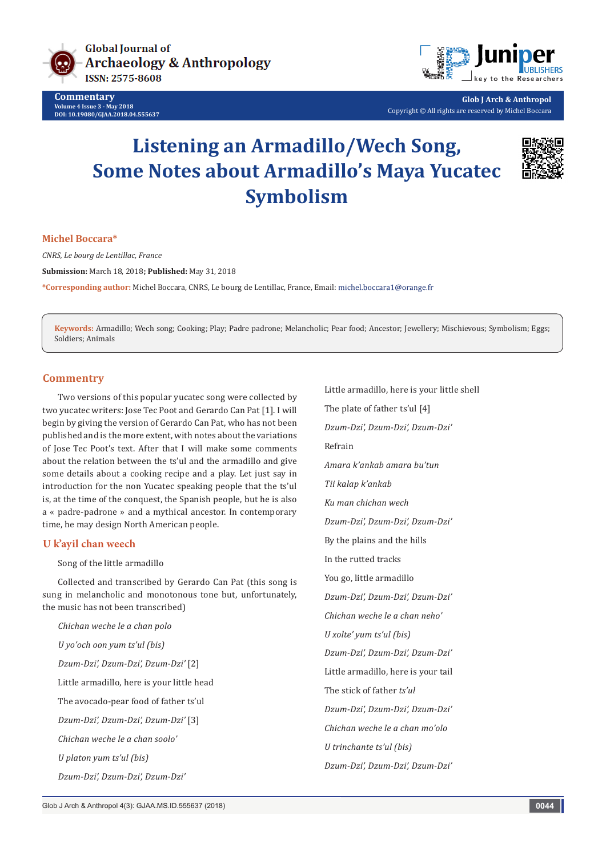

**Commentary Volume 4 Issue 3 - May 2018 DOI: [10.19080/GJAA.2018.04.555637](http://dx.doi.org/10.19080/GJAA.2018.04.555637)**



**Glob J Arch & Anthropol** Copyright © All rights are reserved by Michel Boccara

# **Listening an Armadillo/Wech Song, Some Notes about Armadillo's Maya Yucatec Symbolism**



#### **Michel Boccara\***

*CNRS, Le bourg de Lentillac, France*

**Submission:** March 18, 2018**; Published:** May 31, 2018

**\*Corresponding author:** Michel Boccara, CNRS, Le bourg de Lentillac, France, Email:

**Keywords:** Armadillo; Wech song; Cooking; Play; Padre padrone; Melancholic; Pear food; Ancestor; Jewellery; Mischievous; Symbolism; Eggs; Soldiers; Animals

## **Commentry**

Two versions of this popular yucatec song were collected by two yucatec writers: Jose Tec Poot and Gerardo Can Pat [1]. I will begin by giving the version of Gerardo Can Pat, who has not been published and is the more extent, with notes about the variations of Jose Tec Poot's text. After that I will make some comments about the relation between the ts'ul and the armadillo and give some details about a cooking recipe and a play. Let just say in introduction for the non Yucatec speaking people that the ts'ul is, at the time of the conquest, the Spanish people, but he is also a « padre-padrone » and a mythical ancestor. In contemporary time, he may design North American people.

## **U k'ayil chan weech**

Song of the little armadillo

Collected and transcribed by Gerardo Can Pat (this song is sung in melancholic and monotonous tone but, unfortunately, the music has not been transcribed)

*Chichan weche le a chan polo U yo'och oon yum ts'ul (bis) Dzum-Dzi', Dzum-Dzi', Dzum-Dzi'* [2] Little armadillo, here is your little head The avocado-pear food of father ts'ul *Dzum-Dzi', Dzum-Dzi', Dzum-Dzi'* [3] *Chichan weche le a chan soolo' U platon yum ts'ul (bis)*

Little armadillo, here is your little shell The plate of father ts'ul [4] *Dzum-Dzi', Dzum-Dzi', Dzum-Dzi'* Refrain *Amara k'ankab amara bu'tun Tii kalap k'ankab Ku man chichan wech Dzum-Dzi', Dzum-Dzi', Dzum-Dzi'* By the plains and the hills In the rutted tracks You go, little armadillo *Dzum-Dzi', Dzum-Dzi', Dzum-Dzi' Chichan weche le a chan neho' U xolte' yum ts'ul (bis) Dzum-Dzi', Dzum-Dzi', Dzum-Dzi'* Little armadillo, here is your tail The stick of father *ts'ul Dzum-Dzi', Dzum-Dzi', Dzum-Dzi' Chichan weche le a chan mo'olo U trinchante ts'ul (bis) Dzum-Dzi', Dzum-Dzi', Dzum-Dzi'*

*Dzum-Dzi', Dzum-Dzi', Dzum-Dzi'*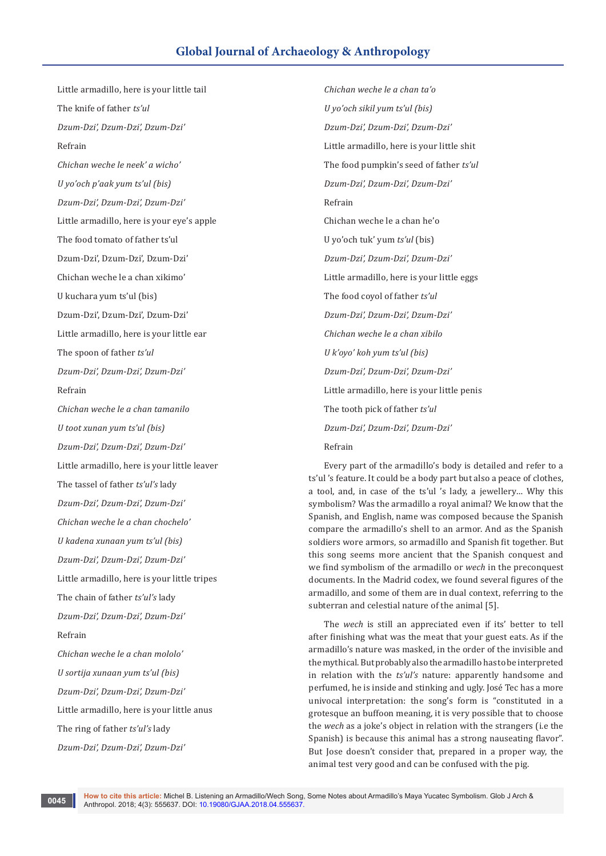# **Global Journal of Archaeology & Anthropology**

Little armadillo, here is your little tail The knife of father *ts'ul Dzum-Dzi', Dzum-Dzi', Dzum-Dzi'* Refrain *Chichan weche le neek' a wicho' U yo'och p'aak yum ts'ul (bis) Dzum-Dzi', Dzum-Dzi', Dzum-Dzi'* Little armadillo, here is your eye's apple The food tomato of father ts'ul Dzum-Dzi', Dzum-Dzi', Dzum-Dzi' Chichan weche le a chan xikimo' U kuchara yum ts'ul (bis) Dzum-Dzi', Dzum-Dzi', Dzum-Dzi' Little armadillo, here is your little ear The spoon of father *ts'ul Dzum-Dzi', Dzum-Dzi', Dzum-Dzi'* Refrain *Chichan weche le a chan tamanilo U toot xunan yum ts'ul (bis) Dzum-Dzi', Dzum-Dzi', Dzum-Dzi'* Little armadillo, here is your little leaver The tassel of father *ts'ul's* lady *Dzum-Dzi', Dzum-Dzi', Dzum-Dzi' Chichan weche le a chan chochelo' U kadena xunaan yum ts'ul (bis) Dzum-Dzi', Dzum-Dzi', Dzum-Dzi'* Little armadillo, here is your little tripes The chain of father *ts'ul's* lady *Dzum-Dzi', Dzum-Dzi', Dzum-Dzi'* Refrain *Chichan weche le a chan mololo' U sortija xunaan yum ts'ul (bis) Dzum-Dzi', Dzum-Dzi', Dzum-Dzi'* Little armadillo, here is your little anus The ring of father *ts'ul's* lady *Dzum-Dzi', Dzum-Dzi', Dzum-Dzi'*

*Chichan weche le a chan ta'o U yo'och sikil yum ts'ul (bis) Dzum-Dzi', Dzum-Dzi', Dzum-Dzi'* Little armadillo, here is your little shit The food pumpkin's seed of father *ts'ul Dzum-Dzi', Dzum-Dzi', Dzum-Dzi'* Refrain Chichan weche le a chan he'o U yo'och tuk' yum *ts'ul* (bis) *Dzum-Dzi', Dzum-Dzi', Dzum-Dzi'* Little armadillo, here is your little eggs The food coyol of father *ts'ul Dzum-Dzi', Dzum-Dzi', Dzum-Dzi' Chichan weche le a chan xibilo U k'oyo' koh yum ts'ul (bis) Dzum-Dzi', Dzum-Dzi', Dzum-Dzi'* Little armadillo, here is your little penis The tooth pick of father *ts'ul Dzum-Dzi', Dzum-Dzi', Dzum-Dzi'* Refrain

Every part of the armadillo's body is detailed and refer to a ts'ul 's feature. It could be a body part but also a peace of clothes, a tool, and, in case of the ts'ul 's lady, a jewellery… Why this symbolism? Was the armadillo a royal animal? We know that the Spanish, and English, name was composed because the Spanish compare the armadillo's shell to an armor. And as the Spanish soldiers wore armors, so armadillo and Spanish fit together. But this song seems more ancient that the Spanish conquest and we find symbolism of the armadillo or *wech* in the preconquest documents. In the Madrid codex, we found several figures of the armadillo, and some of them are in dual context, referring to the subterran and celestial nature of the animal [5].

The *wech* is still an appreciated even if its' better to tell after finishing what was the meat that your guest eats. As if the armadillo's nature was masked, in the order of the invisible and the mythical. But probably also the armadillo has to be interpreted in relation with the *ts'ul's* nature: apparently handsome and perfumed, he is inside and stinking and ugly. José Tec has a more univocal interpretation: the song's form is "constituted in a grotesque an buffoon meaning, it is very possible that to choose the *wech* as a joke's object in relation with the strangers (i.e the Spanish) is because this animal has a strong nauseating flavor". But Jose doesn't consider that, prepared in a proper way, the animal test very good and can be confused with the pig.